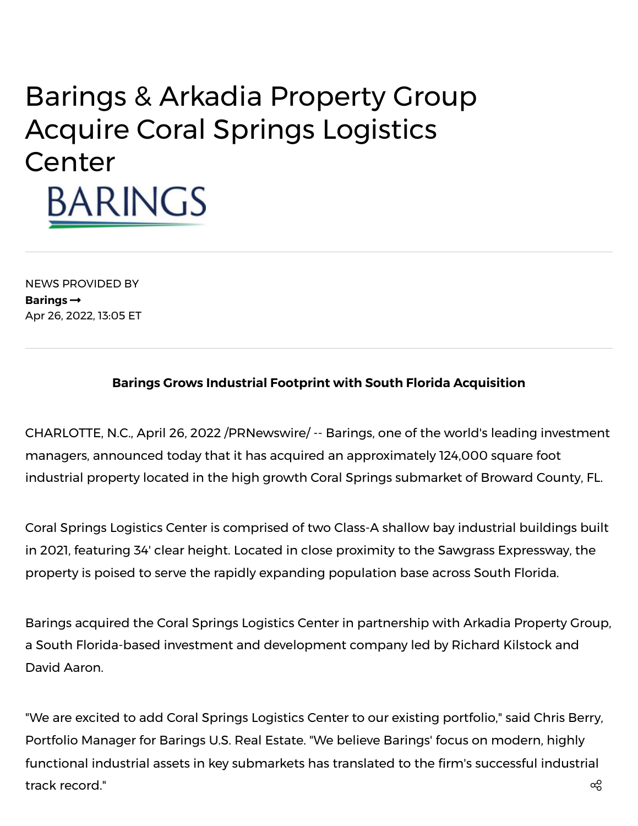# Barings & Arkadia Property Group Acquire Coral Springs Logistics Center BARINGS

NEWS PROVIDED BY **[Barings](https://www.prnewswire.com/news/barings/)** Apr 26, 2022, 13:05 ET

## **Barings Grows Industrial Footprint with South Florida Acquisition**

CHARLOTTE, N.C., April 26, 2022 /PRNewswire/ -- Barings, one of the world's leading investment managers, announced today that it has acquired an approximately 124,000 square foot industrial property located in the high growth Coral Springs submarket of Broward County, FL.

Coral Springs Logistics Center is comprised of two Class-A shallow bay industrial buildings built in 2021, featuring 34' clear height. Located in close proximity to the Sawgrass Expressway, the property is poised to serve the rapidly expanding population base across South Florida.

Barings acquired the Coral Springs Logistics Center in partnership with Arkadia Property Group, a South Florida-based investment and development company led by Richard Kilstock and David Aaron.

"We are excited to add Coral Springs Logistics Center to our existing portfolio," said Chris Berry, Portfolio Manager for Barings U.S. Real Estate. "We believe Barings' focus on modern, highly functional industrial assets in key submarkets has translated to the firm's successful industrial track record."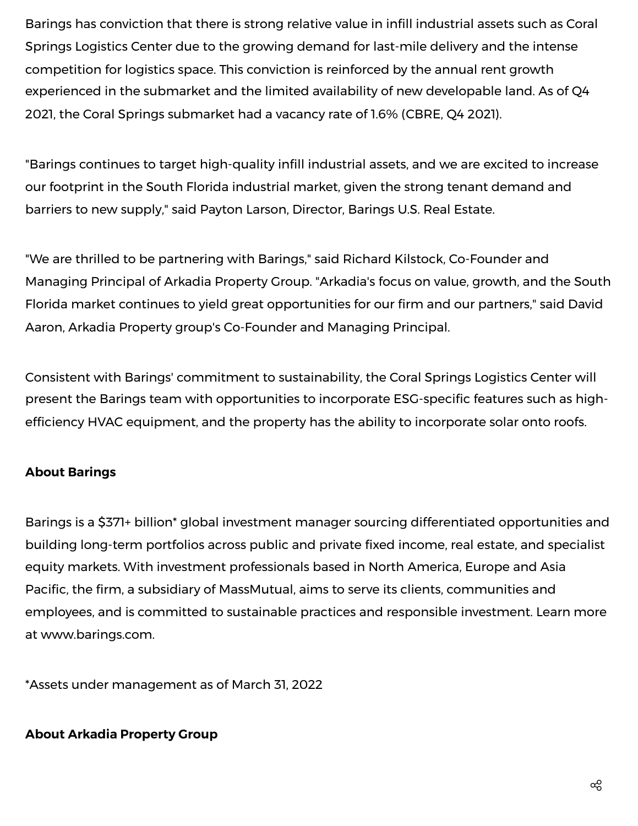Barings has conviction that there is strong relative value in infill industrial assets such as Coral Springs Logistics Center due to the growing demand for last-mile delivery and the intense competition for logistics space. This conviction is reinforced by the annual rent growth experienced in the submarket and the limited availability of new developable land. As of Q4 2021, the Coral Springs submarket had a vacancy rate of 1.6% (CBRE, Q4 2021).

"Barings continues to target high-quality infill industrial assets, and we are excited to increase our footprint in the South Florida industrial market, given the strong tenant demand and barriers to new supply," said Payton Larson, Director, Barings U.S. Real Estate.

"We are thrilled to be partnering with Barings," said Richard Kilstock, Co-Founder and Managing Principal of Arkadia Property Group. "Arkadia's focus on value, growth, and the South Florida market continues to yield great opportunities for our firm and our partners," said David Aaron, Arkadia Property group's Co-Founder and Managing Principal.

Consistent with Barings' commitment to sustainability, the Coral Springs Logistics Center will present the Barings team with opportunities to incorporate ESG-specific features such as highefficiency HVAC equipment, and the property has the ability to incorporate solar onto roofs.

# **About Barings**

Barings is a \$371+ billion\* global investment manager sourcing differentiated opportunities and building long-term portfolios across public and private fixed income, real estate, and specialist equity markets. With investment professionals based in North America, Europe and Asia Pacific, the firm, a subsidiary of MassMutual, aims to serve its clients, communities and employees, and is committed to sustainable practices and responsible investment. Learn more at [www.barings.com.](https://c212.net/c/link/?t=0&l=en&o=3514784-1&h=3762433879&u=http%3A%2F%2Fwww.barings.com%2F&a=www.barings.com)

\*Assets under management as of March 31, 2022

#### **About Arkadia Property Group**